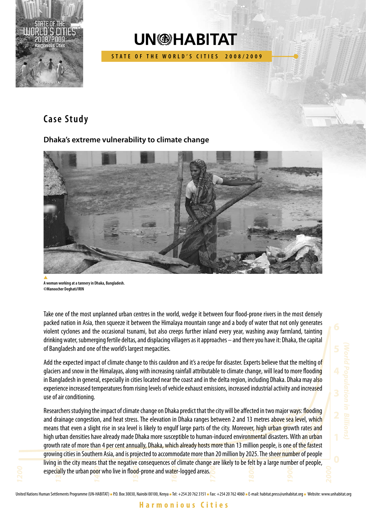

## **UN@HABITAT**

**S T A T E O F T H E W O R L D ' S C I T I E S 2 0 0 8 / 2 0 0 9**

## **Case Study**

## **Dhaka's extreme vulnerability to climate change**



**A woman working at a tannery in Dhaka, Bangladesh. ©Manoocher Deghati/IRIN**

Take one of the most unplanned urban centres in the world, wedge it between four flood-prone rivers in the most densely packed nation in Asia, then squeeze it between the Himalaya mountain range and a body of water that not only generates violent cyclones and the occasional tsunami, but also creeps further inland every year, washing away farmland, tainting drinking water, submerging fertile deltas, and displacing villagers as it approaches – and there you have it: Dhaka, the capital of Bangladesh and one of the world's largest megacities.

Add the expected impact of climate change to this cauldron and it's a recipe for disaster. Experts believe that the melting of glaciers and snow in the Himalayas, along with increasing rainfall attributable to climate change, will lead to more flooding in Bangladesh in general, especially in cities located near the coast and in the delta region, including Dhaka. Dhaka may also experience increased temperatures from rising levels of vehicle exhaust emissions, increased industrial activity and increased use of air conditioning.

Researchers studying the impact of climate change on Dhaka predict that the city will be affected in two major ways: flooding and drainage congestion, and heat stress. The elevation in Dhaka ranges between 2 and 13 metres above sea level, which means that even a slight rise in sea level is likely to engulf large parts of the city. Moreover, high urban growth rates and high urban densities have already made Dhaka more susceptible to human-induced environmental disasters. With an urban growth rate of more than 4 per cent annually, Dhaka, which already hosts more than 13 million people, is one of the fastest growing cities in Southern Asia, and is projected to accommodate more than 20 million by 2025. The sheer number of people living in the city means that the negative consequences of climate change are likely to be felt by a large number of people, especially the urban poor who live in flood-prone and water-logged areas.

## **H a r m o n i o u s C i t i e s**